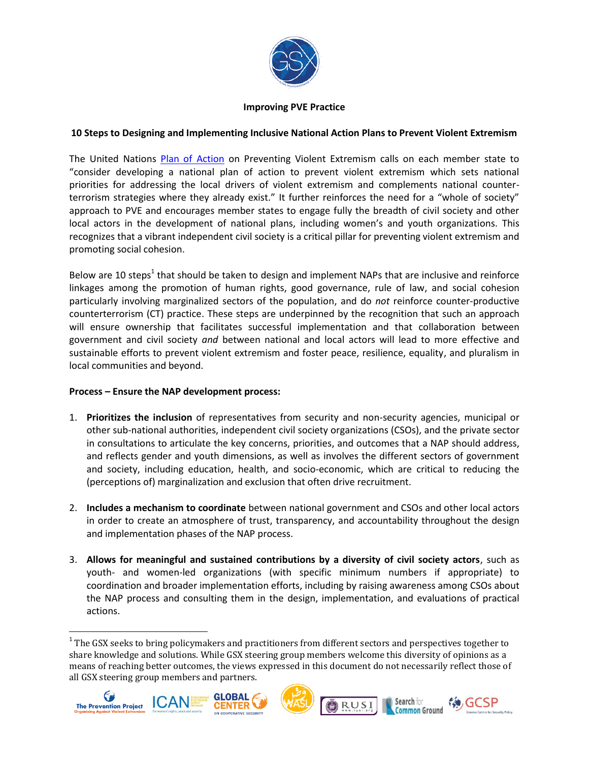

## **Improving PVE Practice**

# **10 Steps to Designing and Implementing Inclusive National Action Plans to Prevent Violent Extremism**

The United Nations [Plan of Action](http://www.un.org/en/ga/search/view_doc.asp?symbol=A/70/674) on Preventing Violent Extremism calls on each member state to "consider developing a national plan of action to prevent violent extremism which sets national priorities for addressing the local drivers of violent extremism and complements national counterterrorism strategies where they already exist." It further reinforces the need for a "whole of society" approach to PVE and encourages member states to engage fully the breadth of civil society and other local actors in the development of national plans, including women's and youth organizations. This recognizes that a vibrant independent civil society is a critical pillar for preventing violent extremism and promoting social cohesion.

Below are 10 steps<sup>1</sup> that should be taken to design and implement NAPs that are inclusive and reinforce linkages among the promotion of human rights, good governance, rule of law, and social cohesion particularly involving marginalized sectors of the population, and do *not* reinforce counter-productive counterterrorism (CT) practice. These steps are underpinned by the recognition that such an approach will ensure ownership that facilitates successful implementation and that collaboration between government and civil society *and* between national and local actors will lead to more effective and sustainable efforts to prevent violent extremism and foster peace, resilience, equality, and pluralism in local communities and beyond.

# **Process – Ensure the NAP development process:**

 $\overline{\phantom{a}}$ 

- 1. **Prioritizes the inclusion** of representatives from security and non-security agencies, municipal or other sub-national authorities, independent civil society organizations (CSOs), and the private sector in consultations to articulate the key concerns, priorities, and outcomes that a NAP should address, and reflects gender and youth dimensions, as well as involves the different sectors of government and society, including education, health, and socio-economic, which are critical to reducing the (perceptions of) marginalization and exclusion that often drive recruitment.
- 2. **Includes a mechanism to coordinate** between national government and CSOs and other local actors in order to create an atmosphere of trust, transparency, and accountability throughout the design and implementation phases of the NAP process.
- 3. **Allows for meaningful and sustained contributions by a diversity of civil society actors**, such as youth- and women-led organizations (with specific minimum numbers if appropriate) to coordination and broader implementation efforts, including by raising awareness among CSOs about the NAP process and consulting them in the design, implementation, and evaluations of practical actions.

 $1$  The GSX seeks to bring policymakers and practitioners from different sectors and perspectives together to share knowledge and solutions. While GSX steering group members welcome this diversity of opinions as a means of reaching better outcomes, the views expressed in this document do not necessarily reflect those of all GSX steering group members and partners.